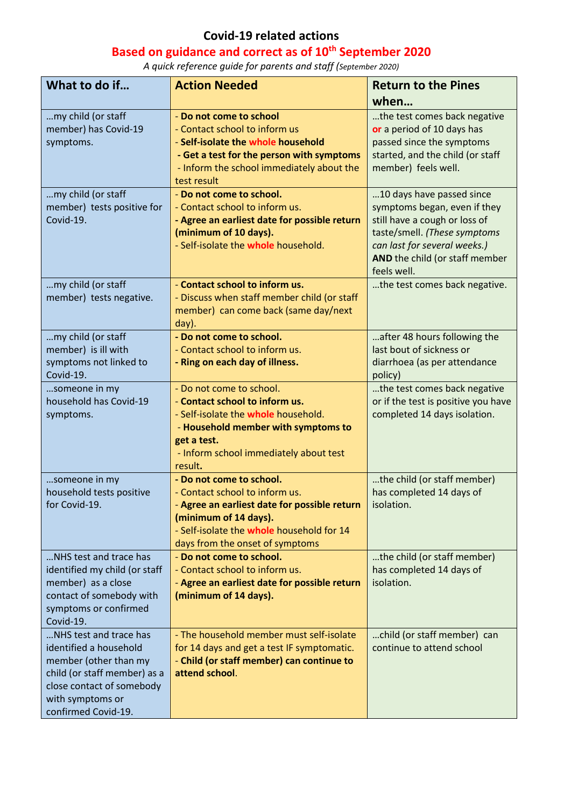## **Covid-19 related actions**

## **Based on guidance and correct as of 10th September 2020**

*A quick reference guide for parents and staff (September 2020)*

| What to do if                                                                                                                                                                     | <b>Action Needed</b>                                                                                                                                                                                                           | <b>Return to the Pines</b>                                                                                                                                                                                  |
|-----------------------------------------------------------------------------------------------------------------------------------------------------------------------------------|--------------------------------------------------------------------------------------------------------------------------------------------------------------------------------------------------------------------------------|-------------------------------------------------------------------------------------------------------------------------------------------------------------------------------------------------------------|
|                                                                                                                                                                                   |                                                                                                                                                                                                                                | when                                                                                                                                                                                                        |
| my child (or staff<br>member) has Covid-19<br>symptoms.                                                                                                                           | - Do not come to school<br>- Contact school to inform us<br>- Self-isolate the whole household<br>- Get a test for the person with symptoms<br>- Inform the school immediately about the<br>test result                        | the test comes back negative<br>or a period of 10 days has<br>passed since the symptoms<br>started, and the child (or staff<br>member) feels well.                                                          |
| my child (or staff<br>member) tests positive for<br>Covid-19.                                                                                                                     | - Do not come to school.<br>- Contact school to inform us.<br>- Agree an earliest date for possible return<br>(minimum of 10 days).<br>- Self-isolate the whole household.                                                     | 10 days have passed since<br>symptoms began, even if they<br>still have a cough or loss of<br>taste/smell. (These symptoms<br>can last for several weeks.)<br>AND the child (or staff member<br>feels well. |
| my child (or staff<br>member) tests negative.                                                                                                                                     | - Contact school to inform us.<br>- Discuss when staff member child (or staff<br>member) can come back (same day/next<br>day).                                                                                                 | the test comes back negative.                                                                                                                                                                               |
| my child (or staff<br>member) is ill with<br>symptoms not linked to<br>Covid-19.                                                                                                  | - Do not come to school.<br>- Contact school to inform us.<br>- Ring on each day of illness.                                                                                                                                   | after 48 hours following the<br>last bout of sickness or<br>diarrhoea (as per attendance<br>policy)                                                                                                         |
| someone in my<br>household has Covid-19<br>symptoms.                                                                                                                              | - Do not come to school.<br>- Contact school to inform us.<br>- Self-isolate the whole household.<br>- Household member with symptoms to<br>get a test.<br>- Inform school immediately about test<br>result.                   | the test comes back negative<br>or if the test is positive you have<br>completed 14 days isolation.                                                                                                         |
| someone in my<br>household tests positive<br>for Covid-19.                                                                                                                        | - Do not come to school.<br>- Contact school to inform us.<br>Agree an earliest date for possible return   isolation.<br>(minimum of 14 days).<br>- Self-isolate the whole household for 14<br>days from the onset of symptoms | the child (or staff member)<br>has completed 14 days of                                                                                                                                                     |
| NHS test and trace has<br>identified my child (or staff<br>member) as a close<br>contact of somebody with<br>symptoms or confirmed<br>Covid-19.                                   | - Do not come to school.<br>- Contact school to inform us.<br>- Agree an earliest date for possible return<br>(minimum of 14 days).                                                                                            | the child (or staff member)<br>has completed 14 days of<br>isolation.                                                                                                                                       |
| NHS test and trace has<br>identified a household<br>member (other than my<br>child (or staff member) as a<br>close contact of somebody<br>with symptoms or<br>confirmed Covid-19. | - The household member must self-isolate<br>for 14 days and get a test IF symptomatic.<br>- Child (or staff member) can continue to<br>attend school.                                                                          | child (or staff member) can<br>continue to attend school                                                                                                                                                    |